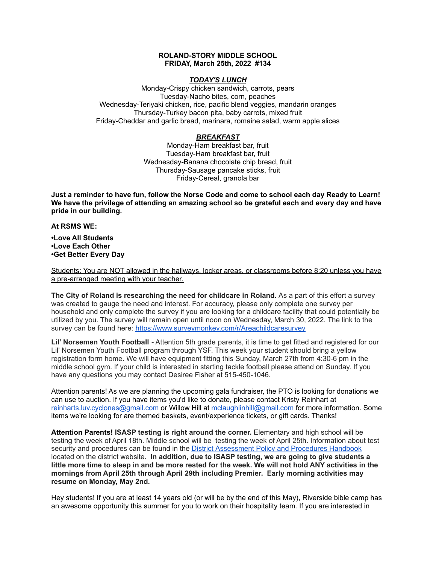## **ROLAND-STORY MIDDLE SCHOOL FRIDAY, March 25th, 2022 #134**

### *TODAY'S LUNCH*

Monday-Crispy chicken sandwich, carrots, pears Tuesday-Nacho bites, corn, peaches Wednesday-Teriyaki chicken, rice, pacific blend veggies, mandarin oranges Thursday-Turkey bacon pita, baby carrots, mixed fruit Friday-Cheddar and garlic bread, marinara, romaine salad, warm apple slices

# *BREAKFAST*

Monday-Ham breakfast bar, fruit Tuesday-Ham breakfast bar, fruit Wednesday-Banana chocolate chip bread, fruit Thursday-Sausage pancake sticks, fruit Friday-Cereal, granola bar

Just a reminder to have fun, follow the Norse Code and come to school each day Ready to Learn! **We have the privilege of attending an amazing school so be grateful each and every day and have pride in our building.**

### **At RSMS WE:**

**•Love All Students •Love Each Other •Get Better Every Day**

Students: You are NOT allowed in the hallways, locker areas, or classrooms before 8:20 unless you have a pre-arranged meeting with your teacher.

**The City of Roland is researching the need for childcare in Roland.** As a part of this effort a survey was created to gauge the need and interest. For accuracy, please only complete one survey per household and only complete the survey if you are looking for a childcare facility that could potentially be utilized by you. The survey will remain open until noon on Wednesday, March 30, 2022. The link to the survey can be found here: <https://www.surveymonkey.com/r/Areachildcaresurvey>

**Lil' Norsemen Youth Football** - Attention 5th grade parents, it is time to get fitted and registered for our Lil' Norsemen Youth Football program through YSF. This week your student should bring a yellow registration form home. We will have equipment fitting this Sunday, March 27th from 4:30-6 pm in the middle school gym. If your child is interested in starting tackle football please attend on Sunday. If you have any questions you may contact Desiree Fisher at 515-450-1046.

Attention parents! As we are planning the upcoming gala fundraiser, the PTO is looking for donations we can use to auction. If you have items you'd like to donate, please contact Kristy Reinhart at reinharts.luv.cyclones@gmail.com or Willow Hill at mclaughlinhill@gmail.com for more information. Some items we're looking for are themed baskets, event/experience tickets, or gift cards. Thanks!

**Attention Parents! ISASP testing is right around the corner.** Elementary and high school will be testing the week of April 18th. Middle school will be testing the week of April 25th. Information about test security and procedures can be found in the District [Assessment](https://rolandstory.school/media/Michelle%20Soderstrum/RSCSD_District_Assessment_Poli%20-%20Copy%203.pdf) Policy and Procedures Handbook located on the district website. **In addition, due to ISASP testing, we are going to give students a** little more time to sleep in and be more rested for the week. We will not hold ANY activities in the **mornings from April 25th through April 29th including Premier. Early morning activities may resume on Monday, May 2nd.**

Hey students! If you are at least 14 years old (or will be by the end of this May), Riverside bible camp has an awesome opportunity this summer for you to work on their hospitality team. If you are interested in